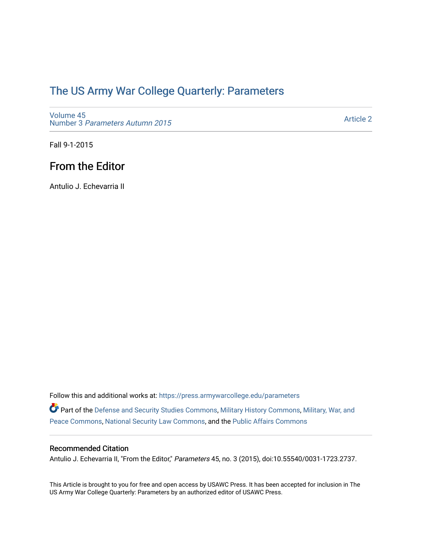## [The US Army War College Quarterly: Parameters](https://press.armywarcollege.edu/parameters)

[Volume 45](https://press.armywarcollege.edu/parameters/vol45) Number 3 [Parameters Autumn 2015](https://press.armywarcollege.edu/parameters/vol45/iss3)

[Article 2](https://press.armywarcollege.edu/parameters/vol45/iss3/2) 

Fall 9-1-2015

## From the Editor

Antulio J. Echevarria II

Follow this and additional works at: [https://press.armywarcollege.edu/parameters](https://press.armywarcollege.edu/parameters?utm_source=press.armywarcollege.edu%2Fparameters%2Fvol45%2Fiss3%2F2&utm_medium=PDF&utm_campaign=PDFCoverPages)  Part of the [Defense and Security Studies Commons](http://network.bepress.com/hgg/discipline/394?utm_source=press.armywarcollege.edu%2Fparameters%2Fvol45%2Fiss3%2F2&utm_medium=PDF&utm_campaign=PDFCoverPages), [Military History Commons,](http://network.bepress.com/hgg/discipline/504?utm_source=press.armywarcollege.edu%2Fparameters%2Fvol45%2Fiss3%2F2&utm_medium=PDF&utm_campaign=PDFCoverPages) Military, War, and [Peace Commons](http://network.bepress.com/hgg/discipline/861?utm_source=press.armywarcollege.edu%2Fparameters%2Fvol45%2Fiss3%2F2&utm_medium=PDF&utm_campaign=PDFCoverPages), [National Security Law Commons,](http://network.bepress.com/hgg/discipline/1114?utm_source=press.armywarcollege.edu%2Fparameters%2Fvol45%2Fiss3%2F2&utm_medium=PDF&utm_campaign=PDFCoverPages) and the [Public Affairs Commons](http://network.bepress.com/hgg/discipline/399?utm_source=press.armywarcollege.edu%2Fparameters%2Fvol45%2Fiss3%2F2&utm_medium=PDF&utm_campaign=PDFCoverPages) 

## Recommended Citation

Antulio J. Echevarria II, "From the Editor," Parameters 45, no. 3 (2015), doi:10.55540/0031-1723.2737.

This Article is brought to you for free and open access by USAWC Press. It has been accepted for inclusion in The US Army War College Quarterly: Parameters by an authorized editor of USAWC Press.